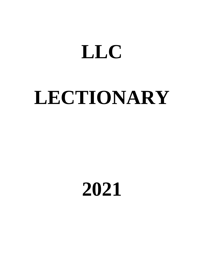## **LLC**

# **LECTIONARY**

### **2021**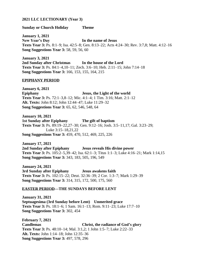### **2021 LLC LECTIONARY (Year 3)**

### **Sunday or Church Holiday Theme**

**January 1, 2021 New Year's Day In the name of Jesus Texts Year 3:** Ps. 8:1–9; Isa. 42:5–8; Gen. 8:13–22; Acts 4:24–30; Rev. 3:7,8; Matt. 4:12–16 **Song Suggestions Year 3:** 58, 59, 56, 60

**January 3, 2021 2nd Sunday after Christmas In the house of the Lord Texts Year 3:** Ps. 84:1–4,10–11; Zech. 3:6–10; Heb. 2:11–15; John 7:14–18 **Song Suggestions Year 3:** 166, 153, 155, 164, 215

### **EPIPHANY PERIOD**

**January 6, 2021 Epiphany Jesus, the Light of the world Texts Year 3:** Ps. 72:1–3,8–12; Mic. 4:1–4; 1 Tim. 3:16; Matt. 2:1–12 **Alt. Texts:** John 8:12; John 12:44–47; Luke 11:29–32 **Song Suggestions Year 3:** 65, 62, 546, 548, 64

**January 10, 2021 1st Sunday after Epiphany The gift of baptism Texts Year 3:** Ps. 89:19–22,27–30; Gen. 9:12–16; Josh. 3:5–11,17; Gal. 3:23–29; Luke 3:15–18,21,22 **Song Suggestions Year 3:** 459, 470, 512, 469, 225, 226

**January 17, 2021 2nd Sunday after Epiphany Jesus reveals His divine power Texts Year 3:** Ps. 105:2–5,39–42; Isa. 62:1–3; Titus 1:1–3; Luke 4:16–21; Mark 1:14,15 **Song Suggestions Year 3:** 343, 183, 505, 196, 549

**January 24, 2021 3rd Sunday after Epiphany Jesus awakens faith Texts Year 3:** Ps. 102:15–22; Deut. 32:36–39; 2 Cor. 1:3–7; Mark 1:29–39 **Song Suggestions Year 3:** 314, 315, 172, 500, 175, 560

### **EASTER PERIOD—THE SUNDAYS BEFORE LENT**

**January 31, 2021 Septuagesima (3rd Sunday before Lent) Unmerited grace Texts Year 3:** Ps. 18:1–6; 1 Sam. 16:1–13; Rom. 9:11–23; Luke 17:7–10 **Song Suggestions Year 3:** 302, 454

**February 7, 2021 Candlemas Christ, the radiance of God's glory Texts Year 3:** Ps. 48:10–14; Mal. 3:1,2; 1 John 1:5–7; Luke 2:22–33 **Alt. Texts:** John 1:14–18; John 12:35–36 **Song Suggestions Year 3:** 497, 578, 296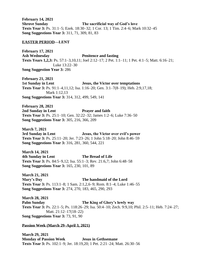**February 14, 2021 Shrove Sunday The sacrificial way of God's love Texts Year 3:** Ps. 31:1–5; Ezek. 18:30–32; 1 Cor. 13; 1 Tim. 2:4–6; Mark 10:32–45 **Song Suggestions Year 3:** 311, 71, 309, 81, 83

### **EASTER PERIOD—LENT**

**February 17, 2021 Ash Wednesday Penitence and fasting Texts Years 1,2,3:** Ps. 57:1–3,10,11; Joel 2:12–17; 2 Pet. 1:1–11; 1 Pet. 4:1–5; Matt. 6:16–21; Luke 13:22–30 **Song Suggestion Year 3:** 286

**February 21, 2021 1st Sunday in Lent Jesus, the Victor over temptations Texts Year 3:** Ps. 91:1–4,11,12; Isa. 1:16–20; Gen. 3:1–7(8–19); Heb. 2:9,17,18; Mark 1:12,13 **Song Suggestions Year 3:** 314, 312, 499, 549, 141

**February 28, 2021 2nd Sunday in Lent Prayer and faith Texts Year 3:** Ps. 25:1–10; Gen. 32:22–32; James 1:2–6; Luke 7:36–50 **Song Suggestions Year 3:** 305, 216, 366, 209

**March 7, 2021 3rd Sunday in Lent Jesus, the Victor over evil's power Texts Year 3:** Ps. 25:11–20; Jer. 7:23–26; 1 John 5:18–20; John 8:46–59 **Song Suggestions Year 3:** 316, 281, 360, 544, 221

**March 14, 2021 4th Sunday in Lent The Bread of Life Texts Year 3:** Ps. 84:5–9,12; Isa. 55:1–3; Rev. 21:6,7; John 6:48–58 **Song Suggestions Year 3:** 165, 230, 101, 89

**March 21, 2021 Mary's Day The handmaid of the Lord Texts Year 3:** Ps. 113:1–8; 1 Sam. 2:1,2,6–9; Rom. 8:1–4; Luke 1:46–55 **Song Suggestions Year 3:** 274, 270, 183, 465, 290, 293

**March 28, 2021 Palm Sunday The King of Glory's lowly way Texts Year 3:** Ps. 22:1–5; Ps. 118:26–29; Isa. 50:4–10; Zech. 9:9,10; Phil. 2:5–11; Heb. 7:24–27; Matt. 21:12–17(18–22) **Song Suggestions Year 3:** 73, 91, 90

### **Passion Week (March 29–April 3, 2021)**

**March 29, 2021 Monday of Passion Week Jesus in Gethsemane Texts Year 3:** Ps. 102:1–9; Jer. 18:19,20; 1 Pet. 2:21–24; Matt. 26:30–56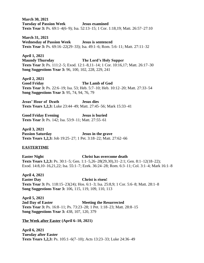**March 30, 2021 Tuesday of Passion Week Jesus examined Texts Year 3:** Ps. 69:1–4(6–9); Isa. 52:13–15; 1 Cor. 1:18,19; Matt. 26:57–27:10

**March 31, 2021 Wednesday of Passion Week Jesus is sentenced Texts Year 3:** Ps. 69:16–22(29–33); Isa. 49:1–6; Rom. 5:6–11; Matt. 27:11–32

**April 1, 2021 Maundy Thursday The Lord's Holy Supper Texts Year 3:** Ps. 111:2–5; Exod. 12:1–8,11–14; 1 Cor. 10:16,17; Matt. 26:17–30 **Song Suggestions Year 3:** 96, 100, 102, 228, 229, 241

**April 2, 2021 Good Friday The Lamb of God Texts Year 3:** Ps. 22:6–19; Isa. 53; Heb. 5:7–10; Heb. 10:12–20; Matt. 27:33–54 **Song Suggestions Year 3:** 95, 74, 94, 76, 79

**Jesus' Hour of Death Jesus dies Texts Years 1,2,3:** Luke 23:44–49; Matt. 27:45–56; Mark 15:33–41

**Good Friday Evening Jesus is buried Texts Year 3:** Ps. 142; Isa. 53:9–11; Matt. 27:55–61

**April 3, 2021 Passion Saturday Jesus in the grave Texts Years 1,2,3:** Job 19:25–27; 1 Pet. 3:18–22; Matt. 27:62–66

### **EASTERTIME**

**Easter Night Christ has overcome death Texts Years 1,2,3:** Ps. 30:1–5; Gen. 1:1–5,26–28(29,30),31–2:1; Gen. 8:1–12(18–22); Exod. 14:8,10–16,21,22; Isa. 55:1–7; Ezek. 36:24–28; Rom. 6:3–11; Col. 3:1–4; Mark 16:1–8

**April 4, 2021 Easter Day Christ is risen! Texts Year 3:** Ps. 118:15–23(24); Hos. 6:1–3; Isa. 25:8,9; 1 Cor. 5:6–8; Matt. 28:1–8 **Song Suggestions Year 3:** 106, 115, 119, 109, 110, 113

**April 5, 2021 2nd Day of Easter Meeting the Resurrected Texts Year 3:** Ps. 16:8–11; Ps. 73:23–28; 1 Pet. 1:18–23; Matt. 28:8–15 **Song Suggestions Year 3:** 438, 107, 120, 379

**The Week after Easter (April 6–10, 2021)**

**April 6, 2021 Tuesday after Easter Texts Years 1,2,3:** Ps. 105:1–6(7–10); Acts 13:23–33; Luke 24:36–49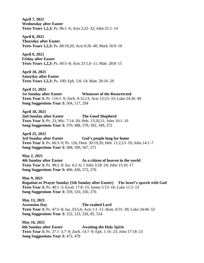**April 7, 2021 Wednesday after Easter Texts Years 1,2,3:** Ps. 96:1–6; Acts 2:22–32; John 21:1–14

**April 8, 2021 Thursday after Easter Texts Years 1,2,3:** Ps. 68:19,20; Acts 8:26–40; Mark 16:9–16

**April 9, 2021 Friday after Easter Texts Years 1,2,3:** Ps. 40:5–8; Acts 23:1,6–11; Matt. 28:8–15

**April 10, 2021 Saturday after Easter Texts Years 1,2,3:** Ps. 100; Eph. 5:8–14; Matt. 28:16–20

**April 11, 2021 1st Sunday after Easter Witnesses of the Resurrected Texts Year 3:** Ps. 116:1–9; Zech. 8:12,13; Acts 13:23–33; Luke 24:36–49 **Song Suggestions Year 3:** 504, 117, 294

**April 18, 2021 2nd Sunday after Easter The Good Shepherd Texts Year 3:** Ps. 23; Mic. 7:14–20; Heb. 13:20,21; John 10:1–10 **Song Suggestions Year 3:** 370, 488, 378, 392, 349, 372

**April 25, 2021 3rd Sunday after Easter God's people long for home Texts Year 3:** Ps. 66:3–9; Ps. 126; Deut. 30:19,20; Heb. 11:2,13–19; John 14:1–7 **Song Suggestions Year 3:** 588, 599, 567, 571

**May 2, 2021 4th Sunday after Easter As a citizen of heaven in the world Texts Year 3:** Ps. 98:2–9; Isa. 4:2–6; 1 John 3:18–24; John 15:10–17 **Song Suggestions Year 3:** 406, 430, 572, 576

**May 9, 2021 Rogation or Prayer Sunday (5th Sunday after Easter) The heart's speech with God Texts Year 3:** Ps. 40:1–5; Exod. 17:8–13; James 5:13–16; Luke 11:5–13 **Song Suggestions Year 3:** 359, 510, 350, 276

**May 13, 2021 Ascension Day The exalted Lord Texts Year 3:** Ps. 47:5–8; Isa. 33:5,6; Acts 1:1–11; Rom. 8:31–39; Luke 24:46–53 **Song Suggestions Year 3:** 122, 123, 326, 85, 524

**May 16, 2021 6th Sunday after Easter Awaiting the Holy Spirit Texts Year 3:** Ps. 27:1–3,7–9; Zech. 14:7–9; Eph. 1:16–23; John 17:18–23 **Song Suggestions Year 3:** 472, 478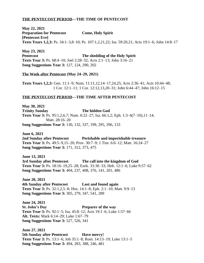### **THE PENTECOST PERIOD—THE TIME OF PENTECOST**

**May 22, 2021 Preparation for Pentecost Come, Holy Spirit [Pentecost Eve] Texts Years 1,2,3:** Ps. 34:1–3,8–10; Ps. 107:1,2,21,22; Isa. 59:20,21; Acts 19:1–6; John 14:8–17

**May 23, 2021 Pentecost The shedding of the Holy Spirit Texts Year 3:** Ps. 68:4–10; Joel 2:28–32; Acts 2:1–13; John 3:16–21 **Song Suggestions Year 3:** 127, 124, 290, 202

### **The Week after Pentecost (May 24–29, 2021)**

**Texts Years 1,2,3:** Gen. 11:1–9; Num. 11:11,12,14–17,24,25; Acts 2:36–41; Acts 10:44–48; 1 Cor. 12:1–11; 1 Cor. 12:12,13,20–31; John 6:44–47; John 16:12–15

### **THE PENTECOST PERIOD—THE TIME AFTER PENTECOST**

**May 30, 2021 Trinity Sunday The hidden God Texts Year 3:** Ps. 95:1,2,6,7; Num. 6:22–27; Isa. 66:1,2; Eph. 1:3–6(7–10),11–14; Matt. 28:16–20 **Song Suggestions Year 3:** 130, 132, 337, 199, 295, 296, 133

**June 6, 2021 2nd Sunday after Pentecost Perishable and imperishable treasure Texts Year 3:** Ps. 49:5–9,15–20; Prov. 30:7–9; 1 Tim. 6:6–12; Matt. 16:24–27 **Song Suggestions Year 3:** 171, 312, 373, 475

**June 13, 2021 3rd Sunday after Pentecost The call into the kingdom of God Texts Year 3:** Ps. 18:16–19,25–28; Ezek. 33:30–33; Heb. 12:1–6; Luke 9:57–62 **Song Suggestions Year 3:** 404, 237, 408, 376, 141, 201, 486

**June 20, 2021 4th Sunday after Pentecost Lost and found again Texts Year 3:** Ps. 32:1,2,5–8; Hos. 14:1–8; Eph. 2:1–10; Matt. 9:9–13 **Song Suggestions Year 3:** 305, 279, 347, 541, 289

**June 24, 2021 St. John's Day Preparer of the way Texts Year 3:** Ps. 92:1–5; Isa. 45:8–12; Acts 19:1–6; Luke 1:57–66 **Alt. Texts:** Mark 6:14–29; Luke 1:67–79 **Song Suggestions Year 3:** 527, 526, 341

**June 27, 2021 5th Sunday after Pentecost Have mercy! Texts Year 3:** Ps. 13:1–6; Job 35:1–8; Rom. 14:13–19; Luke 13:1–5 **Song Suggestions Year 3:** 494, 283, 388, 246, 481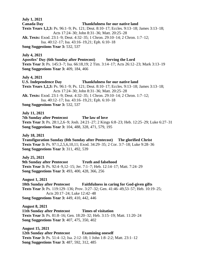**July 1, 2021 Canada Day Thankfulness for our native land Texts Years 1,2,3:** Ps. 96:1–9; Ps. 121; Deut. 8:10–17; Eccles. 9:13–18; James 3:13–18; Acts 17:24–30; John 8:31–36; Matt. 20:25–28 **Alt. Texts:** Exod. 23:1–9; Deut. 4:32–35; 1 Chron. 29:10–14; 2 Chron. 1:7–12; Isa. 40:12–17; Isa. 43:16–19,21; Eph. 6:10–18 **Song Suggestions Year 3:** 532, 537 **July 4, 2021 Apostles' Day (6th Sunday after Pentecost) Serving the Lord Texts Year 3:** Ps. 145:3–7; Isa. 66:18,19; 2 Tim. 3:14–17; Acts 26:12–23; Mark 3:13–19 **Song Suggestions Year 3:** 409, 184, 466 **July 4, 2021 U.S. Independence Day Thankfulness for our native land Texts Years 1,2,3:** Ps. 96:1–9; Ps. 121; Deut. 8:10–17; Eccles. 9:13–18; James 3:13–18; Acts 17:24–30; John 8:31–36; Matt. 20:25–28 **Alt. Texts:** Exod. 23:1–9; Deut. 4:32–35; 1 Chron. 29:10–14; 2 Chron. 1:7–12; Isa. 40:12–17; Isa. 43:16–19,21; Eph. 6:10–18 **Song Suggestions Year 3:** 532, 537 **July 11, 2021 7th Sunday after Pentecost The law of love Texts Year 3:** Ps. 28:1,2,6–9; Josh. 24:21–27; 2 Kings 6:8–23; Heb. 12:25–29; Luke 6:27–31 **Song Suggestions Year 3:** 104, 488, 328, 471, 579, 195 **July 18, 2021 Transfiguration Sunday (8th Sunday after Pentecost) The glorified Christ Texts Year 3:** Ps. 97:1,2,5,6,10,11; Exod. 34:29–35; 2 Cor. 3:7–18; Luke 9:28–36 **Song Suggestions Year 3:** 311, 492, 539 **July 25, 2021 9th Sunday after Pentecost Truth and falsehood Texts Year 3:** Ps. 92:4–9,12–15; Jer. 7:1–7; Heb. 12:14–17; Matt. 7:24–29 **Song Suggestions Year 3:** 493, 400, 428, 366, 256 **August 1, 2021 10th Sunday after Pentecost Faithfulness in caring for God-given gifts Texts Year 3:** Ps. 119:129–136; Prov. 3:27–32; Gen. 41:46–49,53–57; Heb. 10:19–25; Acts 20:17–24; Luke 12:42–48 **Song Suggestions Year 3:** 449, 410, 442, 446 **August 8, 2021 11th Sunday after Pentecost Times of visitation Texts Year 3:** Ps. 81:8–16; Gen. 18:20–32; Heb. 3:15–19; Matt. 11:20–24 **Song Suggestions Year 3:** 407, 475, 350, 402 **August 15, 2021 12th Sunday after Pentecost Examining oneself Texts Year 3:** Ps. 51:4–12; Isa. 2:12–18; 1 John 1:8–2:2; Matt. 23:1–12

**Song Suggestions Year 3:** 487, 592, 312, 485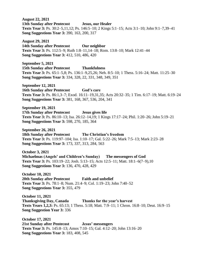**August 22, 2021 13th Sunday after Pentecost Jesus, our Healer Texts Year 3:** Ps. 30:2–5,11,12; Ps. 146:5–10; 2 Kings 5:1–15; Acts 3:1–10; John 9:1–7,39–41 **Song Suggestions Year 3:** 390, 163, 200, 317

**August 29, 2021 14th Sunday after Pentecost Our neighbor Texts Year 3:** Ps. 112:5–9; Ruth 1:8–11,14–18; Rom. 13:8–10; Mark 12:41–44 **Song Suggestions Year 3:** 412, 510, 486, 420

**September 5, 2021 15th Sunday after Pentecost Thankfulness Texts Year 3:** Ps. 65:1–5,8; Ps. 136:1–9,25,26; Neh. 8:5–10; 1 Thess. 5:16–24; Matt. 11:25–30 **Song Suggestions Year 3:** 334, 328, 22, 331, 348, 349, 351

**September 12, 2021 16th Sunday after Pentecost God's care Texts Year 3:** Ps. 86:1,3–7; Exod. 16:11–19,31,35; Acts 20:32–35; 1 Tim. 6:17–19; Matt. 6:19–24 **Song Suggestions Year 3:** 381, 168, 367, 536, 204, 341

**September 19, 2021 17th Sunday after Pentecost Jesus gives life Texts Year 3:** Ps. 86:10–13; Isa. 26:12–14,19; 1 Kings 17:17–24; Phil. 1:20–26; John 5:19–21 **Song Suggestions Year 3:** 598, 270, 185, 364

**September 26, 2021 18th Sunday after Pentecost The Christian's freedom Texts Year 3:** Ps. 119:97–104; Isa. 1:10–17; Gal. 5:22–26; Mark 7:5–13; Mark 2:23–28 **Song Suggestions Year 3:** 173, 337, 313, 284, 563

**October 3, 2021 Michaelmas (Angels' and Children's Sunday) The messengers of God Texts Year 3:** Ps. 103:19–22; Josh. 5:13–15; Acts 12:5–11; Matt. 18:1–6(7–9),10 **Song Suggestions Year 3:** 136, 470, 428, 429

**October 10, 2021 20th Sunday after Pentecost Faith and unbelief Texts Year 3:** Ps. 78:1–8; Num. 21:4–9; Col. 1:19–23; John 7:40–52 **Song Suggestions Year 3:** 355, 479

**October 11, 2021 Thanksgiving Day, Canada Thanks for the year's harvest Texts Years 1,2,3:** Ps. 65:13; 1 Thess. 5:18; Matt. 7:9–11; 1 Chron. 16:8–10; Deut. 16:9–15 **Song Suggestion Year 3:** 336

**October 17, 2021 21st Sunday after Pentecost Jesus' messengers Texts Year 3:** Ps. 145:8–13; Amos 7:10–15; Gal. 4:12–20; John 13:16–20 **Song Suggestions Year 3:** 183, 408, 545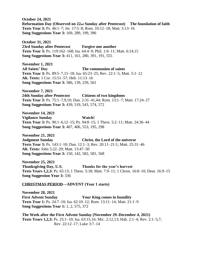**October 24, 2021 Reformation Day (Observed on 22nd Sunday after Pentecost) The foundation of faith Texts Year 3:** Ps. 46:1–7; Jer. 17:5–8; Rom. 10:12–18; Matt. 5:13–16 **Song Suggestions Year 3:** 169, 289, 199, 396

**October 31, 2021 23rd Sunday after Pentecost Forgive one another Texts Year 3:** Ps. 119:162–168; Isa. 64:4–9; Phil. 1:6–11; Matt. 6:14,15 **Song Suggestions Year 3:** 411, 161, 280, 391, 191, 555

**November 1, 2021 All Saints' Day The communion of saints Texts Year 3:** Ps. 89:5–7,15–18; Isa. 65:23–25; Rev. 22:1–5; Matt. 5:1–12 **Alt. Texts:** 1 Cor. 15:51–57; Heb. 11:13–16 **Song Suggestions Year 3:** 586, 139, 259, 561

**November 7, 2021 24th Sunday after Pentecost Citizens of two kingdoms Texts Year 3:** Ps. 75:1–7,9,10; Dan. 2:31–41,44; Rom. 13:1–7; Matt. 17:24–27 **Song Suggestions Year 3:** 439, 519, 543, 574, 572

**November 14, 2021 Vigilance Sunday Watch! Texts Year 3:** Ps. 90:1–6,12–15; Ps. 94:8–15; 1 Thess. 5:2–11; Matt. 24:36–44 **Song Suggestions Year 3:** 407, 406, 553, 195, 298

**November 21, 2021 Judgment Sunday Christ, the Lord of the universe Texts Year 3:** Ps. 143:1–10; Dan. 12:1–3; Rev. 20:11–21:1; Matt. 25:31–46 **Alt. Texts:** John 5:22–29; Matt. 13:47–50 **Song Suggestions Year 3:** 150, 142, 582, 581, 568

**November 25, 2021 Thanksgiving Day, U.S. Thanks for the year's harvest Texts Years 1,2,3:** Ps. 65:13; 1 Thess. 5:18; Matt. 7:9–11; 1 Chron. 16:8–10; Deut. 16:9–15 **Song Suggestion Year 3:** 336

### **CHRISTMAS PERIOD—ADVENT (Year 1 starts)**

**November 28, 2021 First Advent Sunday Your King comes in humility Texts Year 1:** Ps. 24:7–10; Isa. 62:10–12; Rom. 13:11–14; Matt. 21:1–9 **Song Suggestions Year 1:** 1, 2, 575, 372

**The Week after the First Advent Sunday (November 29–December 4, 2021) Texts Years 1,2,3:** Ps. 25:1–10; Isa. 63:15,16; Mic. 2:12,13; Hab. 2:1–4; Rev. 2:1–5,7; Rev. 22:12–17; Luke 3:7–14